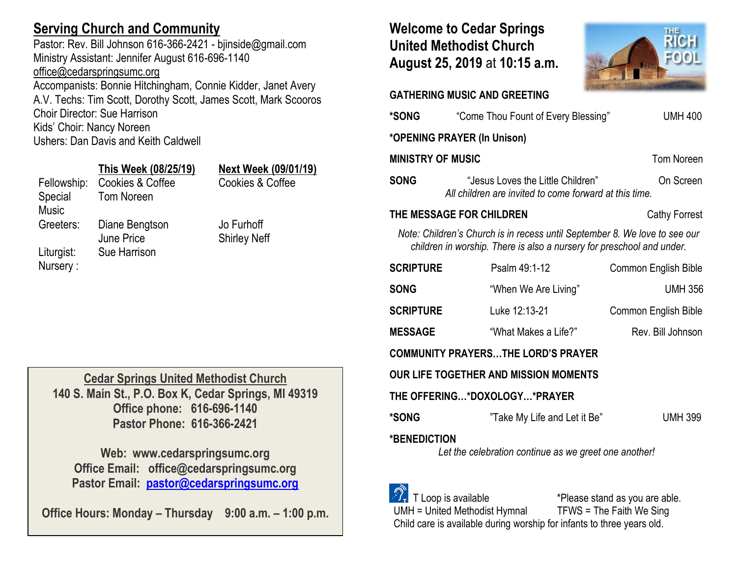# **Serving Church and Community**

Pastor: Rev. Bill Johnson 616-366-2421 - bjinside@gmail.com Ministry Assistant: Jennifer August 616-696-1140 [office@cedarspringsumc.org](mailto:office@cedarspringsumc.org) Accompanists: Bonnie Hitchingham, Connie Kidder, Janet Avery

A.V. Techs: Tim Scott, Dorothy Scott, James Scott, Mark Scooros Choir Director: Sue Harrison Kids' Choir: Nancy Noreen

Ushers: Dan Davis and Keith Caldwell

Tom Noreen

## **This Week (08/25/19) Next Week (09/01/19)**

Fellowship: Cookies & Coffee Cookies & Coffee

Special Music

Greeters: Diane Bengtson June Price Liturgist: Sue Harrison Nursery :

Jo Furhoff Shirley Neff

**Cedar Springs United Methodist Church 140 S. Main St., P.O. Box K, Cedar Springs, MI 49319 Office phone: 616-696-1140 Pastor Phone: 616-366-2421**

**Web: www.cedarspringsumc.org Office Email: office@cedarspringsumc.org Pastor Email: [pastor@cedarspringsumc.org](mailto:pastor@cedarspringsumc.org)**

**Office Hours: Monday – Thursday 9:00 a.m. – 1:00 p.m.**

# **Welcome to Cedar Springs United Methodist Church August 25, 2019** at **10:15 a.m.**



**GATHERING MUSIC AND GREETING** 

| *SONG                                                                                                                                               | "Come Thou Fount of Every Blessing"                                                         | <b>UMH 400</b>       |  |
|-----------------------------------------------------------------------------------------------------------------------------------------------------|---------------------------------------------------------------------------------------------|----------------------|--|
| *OPENING PRAYER (In Unison)                                                                                                                         |                                                                                             |                      |  |
| <b>MINISTRY OF MUSIC</b>                                                                                                                            |                                                                                             | <b>Tom Noreen</b>    |  |
| <b>SONG</b>                                                                                                                                         | "Jesus Loves the Little Children"<br>All children are invited to come forward at this time. | On Screen            |  |
| THE MESSAGE FOR CHILDREN                                                                                                                            |                                                                                             | Cathy Forrest        |  |
| Note: Children's Church is in recess until September 8. We love to see our<br>children in worship. There is also a nursery for preschool and under. |                                                                                             |                      |  |
| <b>SCRIPTURE</b>                                                                                                                                    | Psalm 49:1-12                                                                               | Common English Bible |  |
| <b>SONG</b>                                                                                                                                         | "When We Are Living"                                                                        | <b>UMH 356</b>       |  |
| <b>SCRIPTURE</b>                                                                                                                                    | Luke 12:13-21                                                                               | Common English Bible |  |
| <b>MESSAGE</b>                                                                                                                                      | "What Makes a Life?"                                                                        | Rev. Bill Johnson    |  |
| <b>COMMUNITY PRAYERSTHE LORD'S PRAYER</b>                                                                                                           |                                                                                             |                      |  |
| OUR LIFE TOGETHER AND MISSION MOMENTS                                                                                                               |                                                                                             |                      |  |
| THE OFFERING*DOXOLOGY*PRAYER                                                                                                                        |                                                                                             |                      |  |
| *SONG                                                                                                                                               | "Take My Life and Let it Be"                                                                | <b>UMH 399</b>       |  |
| <b>*BENEDICTION</b><br>Let the celebration continue as we greet one another!                                                                        |                                                                                             |                      |  |



UMH = United Methodist Hymnal TFWS = The Faith We Sing Child care is available during worship for infants to three years old.

T Loop is available \*Please stand as you are able.